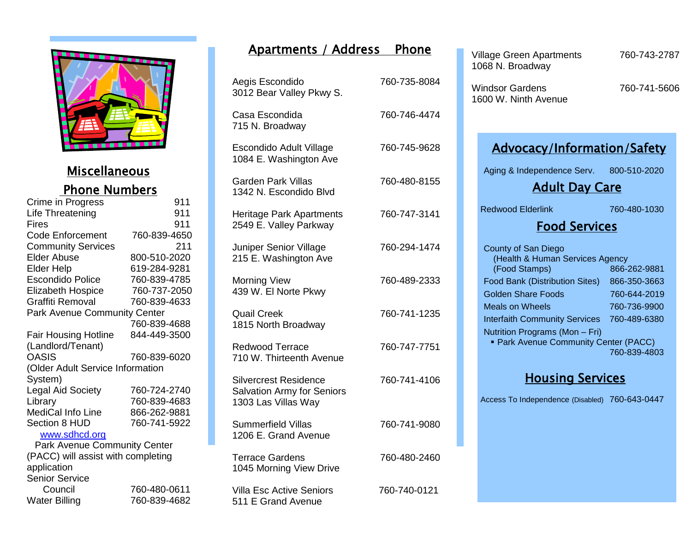

## **Miscellaneous** Phone Numbers

| Crime in Progress                  | 911          |  |
|------------------------------------|--------------|--|
| Life Threatening                   | 911          |  |
| Fires                              | 911          |  |
| <b>Code Enforcement</b>            | 760-839-4650 |  |
| <b>Community Services</b>          | 211          |  |
| <b>Elder Abuse</b>                 | 800-510-2020 |  |
| <b>Elder Help</b>                  | 619-284-9281 |  |
| <b>Escondido Police</b>            | 760-839-4785 |  |
| <b>Elizabeth Hospice</b>           | 760-737-2050 |  |
| Graffiti Removal                   | 760-839-4633 |  |
| Park Avenue Community Center       |              |  |
|                                    | 760-839-4688 |  |
| <b>Fair Housing Hotline</b>        | 844-449-3500 |  |
| (Landlord/Tenant)                  |              |  |
| <b>OASIS</b>                       | 760-839-6020 |  |
| (Older Adult Service Information   |              |  |
| System)                            |              |  |
| <b>Legal Aid Society</b>           | 760-724-2740 |  |
| Library                            | 760-839-4683 |  |
| MediCal Info Line                  | 866-262-9881 |  |
| <b>Section 8 HUD</b>               | 760-741-5922 |  |
| www.sdhcd.org                      |              |  |
| Park Avenue Community Center       |              |  |
| (PACC) will assist with completing |              |  |

application Senior Service Council 760-480-0611<br>Water Billing 760-839-4682 760-839-4682

## Apartments / Address Phone

| Aegis Escondido<br>3012 Bear Valley Pkwy S.                                              | 760-735-8084 |
|------------------------------------------------------------------------------------------|--------------|
| Casa Escondida<br>715 N. Broadway                                                        | 760-746-4474 |
| Escondido Adult Village<br>1084 E. Washington Ave                                        | 760-745-9628 |
| <b>Garden Park Villas</b><br>1342 N. Escondido Blvd                                      | 760-480-8155 |
| <b>Heritage Park Apartments</b><br>2549 E. Valley Parkway                                | 760-747-3141 |
| Juniper Senior Village<br>215 E. Washington Ave                                          | 760-294-1474 |
| <b>Morning View</b><br>439 W. El Norte Pkwy                                              | 760-489-2333 |
| <b>Quail Creek</b><br>1815 North Broadway                                                | 760-741-1235 |
| <b>Redwood Terrace</b><br>710 W. Thirteenth Avenue                                       | 760-747-7751 |
| <b>Silvercrest Residence</b><br><b>Salvation Army for Seniors</b><br>1303 Las Villas Way | 760-741-4106 |
| <b>Summerfield Villas</b><br>1206 E. Grand Avenue                                        | 760-741-9080 |
| <b>Terrace Gardens</b><br>1045 Morning View Drive                                        | 760-480-2460 |
| <b>Villa Esc Active Seniors</b><br>511 E Grand Avenue                                    | 760-740-0121 |

| <b>Village Green Apartments</b><br>1068 N. Broadway                                                                                                                                                                                                                                                                        | 760-743-2787                                                                                 |  |
|----------------------------------------------------------------------------------------------------------------------------------------------------------------------------------------------------------------------------------------------------------------------------------------------------------------------------|----------------------------------------------------------------------------------------------|--|
| <b>Windsor Gardens</b><br>1600 W. Ninth Avenue                                                                                                                                                                                                                                                                             | 760-741-5606                                                                                 |  |
| <b>Advocacy/Information/Safety</b>                                                                                                                                                                                                                                                                                         |                                                                                              |  |
| Aging & Independence Serv. 800-510-2020                                                                                                                                                                                                                                                                                    |                                                                                              |  |
| <b>Adult Day Care</b>                                                                                                                                                                                                                                                                                                      |                                                                                              |  |
| <b>Redwood Elderlink</b>                                                                                                                                                                                                                                                                                                   | 760-480-1030                                                                                 |  |
| <b>Food Services</b>                                                                                                                                                                                                                                                                                                       |                                                                                              |  |
| <b>County of San Diego</b><br>(Health & Human Services Agency<br>(Food Stamps)<br>Food Bank (Distribution Sites)<br><b>Golden Share Foods</b><br><b>Meals on Wheels</b><br><b>Interfaith Community Services</b><br>Nutrition Programs (Mon - Fri)<br><b>Park Avenue Community Center (PACC)</b><br><b>Housing Services</b> | 866-262-9881<br>866-350-3663<br>760-644-2019<br>760-736-9900<br>760-489-6380<br>760-839-4803 |  |
| Access To Independence (Disabled) 760-643-0447                                                                                                                                                                                                                                                                             |                                                                                              |  |
|                                                                                                                                                                                                                                                                                                                            |                                                                                              |  |